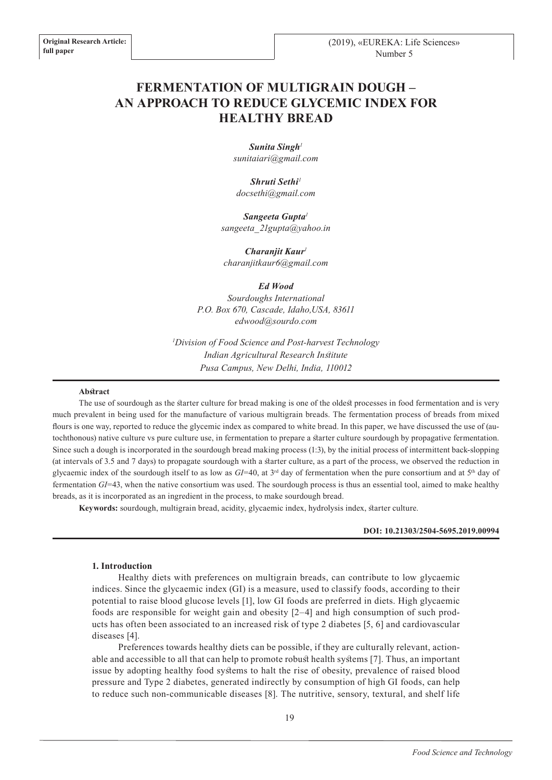# **FERMENTATION OF MULTIGRAIN DOUGH – AN APPROACH TO REDUCE GLYCEMIC INDEX FOR HEALTHY BREAD**

*Sunita Singh<sup>1</sup> sunitaiari@gmail.com*

*Shruti Sethi<sup>1</sup> docsethi@gmail.com*

*Sangeeta Gupta<sup>1</sup> sangeeta\_21gupta@yahoo.in*

*Charanjit Kaur<sup>1</sup> charanjitkaur6@gmail.com*

*Ed Wood*

*Sourdoughs International P.O. Box 670, Cascade, Idaho,USA, 83611 edwood@sourdo.com*

*<sup>1</sup>Division of Food Science and Post-harvest Technology Indian Agricultural Research Institute Pusa Campus, New Delhi, India, 110012*

#### **Abstract**

The use of sourdough as the starter culture for bread making is one of the oldest processes in food fermentation and is very much prevalent in being used for the manufacture of various multigrain breads. The fermentation process of breads from mixed flours is one way, reported to reduce the glycemic index as compared to white bread. In this paper, we have discussed the use of (autochthonous) native culture vs pure culture use, in fermentation to prepare a starter culture sourdough by propagative fermentation. Since such a dough is incorporated in the sourdough bread making process (1:3), by the initial process of intermittent back-slopping (at intervals of 3.5 and 7 days) to propagate sourdough with a starter culture, as a part of the process, we observed the reduction in glycaemic index of the sourdough itself to as low as  $GI=40$ , at  $3<sup>rd</sup>$  day of fermentation when the pure consortium and at  $5<sup>th</sup>$  day of fermentation *GI*=43, when the native consortium was used. The sourdough process is thus an essential tool, aimed to make healthy breads, as it is incorporated as an ingredient in the process, to make sourdough bread.

**Keywords:** sourdough, multigrain bread, acidity, glycaemic index, hydrolysis index, starter culture.

### **DOI: 10.21303/2504-5695.2019.00994**

#### **1. Introduction**

Healthy diets with preferences on multigrain breads, can contribute to low glycaemic indices. Since the glycaemic index (GI) is a measure, used to classify foods, according to their potential to raise blood glucose levels [1], low GI foods are preferred in diets. High glycaemic foods are responsible for weight gain and obesity [2–4] and high consumption of such products has often been associated to an increased risk of type 2 diabetes [5, 6] and cardiovascular diseases [4].

Preferences towards healthy diets can be possible, if they are culturally relevant, actionable and accessible to all that can help to promote robust health systems [7]. Thus, an important issue by adopting healthy food systems to halt the rise of obesity, prevalence of raised blood pressure and Type 2 diabetes, generated indirectly by consumption of high GI foods, can help to reduce such non-communicable diseases [8]. The nutritive, sensory, textural, and shelf life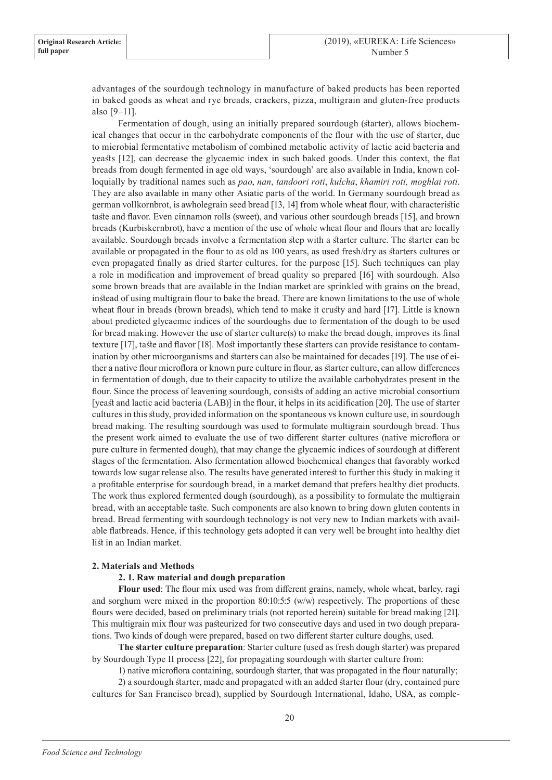advantages of the sourdough technology in manufacture of baked products has been reported in baked goods as wheat and rye breads, crackers, pizza, multigrain and gluten-free products also [9–11].

Fermentation of dough, using an initially prepared sourdough (starter), allows biochemical changes that occur in the carbohydrate components of the flour with the use of starter, due to microbial fermentative metabolism of combined metabolic activity of lactic acid bacteria and yeasts [12], can decrease the glycaemic index in such baked goods. Under this context, the flat breads from dough fermented in age old ways, 'sourdough' are also available in India, known colloquially by traditional names such as *pao*, *nan*, *tandoori roti*, *kulcha*, *khamiri roti, moghlai roti*. They are also available in many other Asiatic parts of the world. In Germany sourdough bread as german vollkornbrot, is awholegrain seed bread [13, 14] from whole wheat flour, with characteristic taste and flavor. Even cinnamon rolls (sweet), and various other sourdough breads [15], and brown breads (Kurbiskernbrot), have a mention of the use of whole wheat flour and flours that are locally available. Sourdough breads involve a fermentation step with a starter culture. The starter can be available or propagated in the flour to as old as 100 years, as used fresh/dry as starters cultures or even propagated finally as dried starter cultures, for the purpose [15]. Such techniques can play a role in modification and improvement of bread quality so prepared [16] with sourdough. Also some brown breads that are available in the Indian market are sprinkled with grains on the bread, instead of using multigrain flour to bake the bread. There are known limitations to the use of whole wheat flour in breads (brown breads), which tend to make it crusty and hard [17]. Little is known about predicted glycaemic indices of the sourdoughs due to fermentation of the dough to be used for bread making. However the use of starter culture(s) to make the bread dough, improves its final texture [17], taste and flavor [18]. Most importantly these starters can provide resistance to contamination by other microorganisms and starters can also be maintained for decades [19]. The use of either a native flour microflora or known pure culture in flour, as starter culture, can allow differences in fermentation of dough, due to their capacity to utilize the available carbohydrates present in the flour. Since the process of leavening sourdough, consists of adding an active microbial consortium [yeast and lactic acid bacteria (LAB)] in the flour, it helps in its acidification [20]. The use of starter cultures in this study, provided information on the spontaneous vs known culture use, in sourdough bread making. The resulting sourdough was used to formulate multigrain sourdough bread. Thus the present work aimed to evaluate the use of two different starter cultures (native microflora or pure culture in fermented dough), that may change the glycaemic indices of sourdough at different stages of the fermentation. Also fermentation allowed biochemical changes that favorably worked towards low sugar release also. The results have generated interest to further this study in making it a profitable enterprise for sourdough bread, in a market demand that prefers healthy diet products. The work thus explored fermented dough (sourdough), as a possibility to formulate the multigrain bread, with an acceptable taste. Such components are also known to bring down gluten contents in bread. Bread fermenting with sourdough technology is not very new to Indian markets with available flatbreads. Hence, if this technology gets adopted it can very well be brought into healthy diet list in an Indian market.

# **2. Materials and Methods**

#### **2. 1. Raw material and dough preparation**

**Flour used**: The flour mix used was from different grains, namely, whole wheat, barley, ragi and sorghum were mixed in the proportion 80:10:5:5 (w/w) respectively. The proportions of these flours were decided, based on preliminary trials (not reported herein) suitable for bread making [21]. This multigrain mix flour was pasteurized for two consecutive days and used in two dough preparations. Two kinds of dough were prepared, based on two different starter culture doughs, used.

**The starter culture preparation**: Starter culture (used as fresh dough starter) was prepared by Sourdough Type II process [22], for propagating sourdough with starter culture from:

1) native microflora containing, sourdough starter, that was propagated in the flour naturally;

2) a sourdough starter, made and propagated with an added starter flour (dry, contained pure cultures for San Francisco bread), supplied by Sourdough International, Idaho, USA, as comple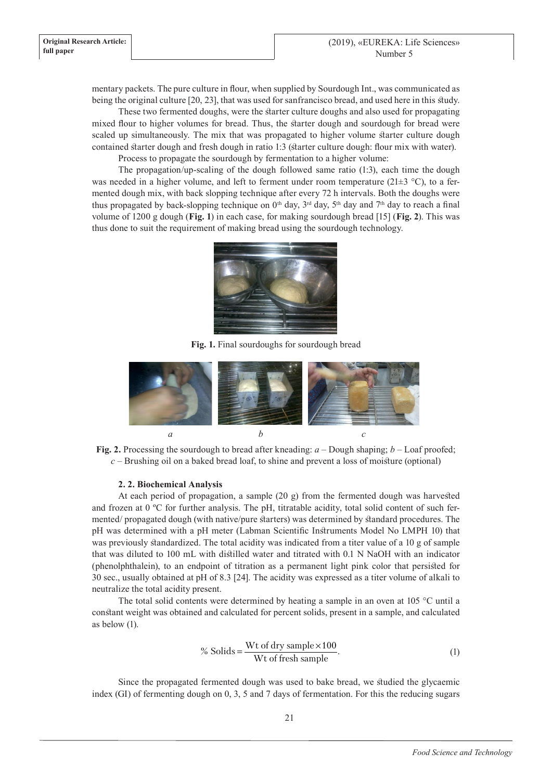mentary packets. The pure culture in flour, when supplied by Sourdough Int., was communicated as being the original culture [20, 23], that was used for sanfrancisco bread, and used here in this study.

These two fermented doughs, were the starter culture doughs and also used for propagating mixed flour to higher volumes for bread. Thus, the starter dough and sourdough for bread were scaled up simultaneously. The mix that was propagated to higher volume starter culture dough contained starter dough and fresh dough in ratio 1:3 (starter culture dough: flour mix with water). Process to propagate the sourdough by fermentation to a higher volume:

The propagation/up-scaling of the dough followed same ratio (1:3), each time the dough was needed in a higher volume, and left to ferment under room temperature (21 $\pm$ 3 °C), to a fermented dough mix, with back slopping technique after every 72 h intervals. Both the doughs were thus propagated by back-slopping technique on  $0<sup>th</sup>$  day,  $3<sup>rd</sup>$  day,  $5<sup>th</sup>$  day and  $7<sup>th</sup>$  day to reach a final volume of 1200 g dough (**Fig. 1**) in each case, for making sourdough bread [15] (**Fig. 2**). This was thus done to suit the requirement of making bread using the sourdough technology.



**Fig. 1.** Final sourdoughs for sourdough bread



**Fig. 2.** Processing the sourdough to bread after kneading: *a* – Dough shaping; *b* – Loaf proofed; *c* – Brushing oil on a baked bread loaf, to shine and prevent a loss of moisture (optional)

# **2. 2. Biochemical Analysis**

At each period of propagation, a sample (20 g) from the fermented dough was harvested and frozen at 0 ºC for further analysis. The pH, titratable acidity, total solid content of such fermented/ propagated dough (with native/pure starters) was determined by standard procedures. The pH was determined with a pH meter (Labman Scientific Instruments Model No LMPH 10) that was previously standardized. The total acidity was indicated from a titer value of a 10 g of sample that was diluted to 100 mL with distilled water and titrated with 0.1 N NaOH with an indicator (phenolphthalein), to an endpoint of titration as a permanent light pink color that persisted for 30 sec., usually obtained at pH of 8.3 [24]. The acidity was expressed as a titer volume of alkali to neutralize the total acidity present.

The total solid contents were determined by heating a sample in an oven at 105 °C until a constant weight was obtained and calculated for percent solids, present in a sample, and calculated as below (1).

% Solids = 
$$
\frac{\text{Wt of dry sample} \times 100}{\text{Wt of fresh sample}}
$$
. (1)

Since the propagated fermented dough was used to bake bread, we studied the glycaemic index (GI) of fermenting dough on 0, 3, 5 and 7 days of fermentation. For this the reducing sugars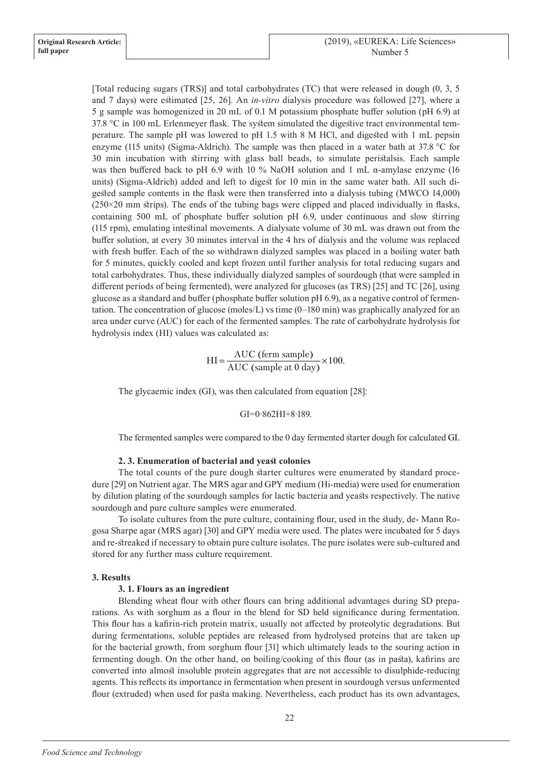[Total reducing sugars (TRS)] and total carbohydrates (TC) that were released in dough (0, 3, 5 and 7 days) were estimated [25, 26]. An *in-vitro* dialysis procedure was followed [27], where a 5 g sample was homogenized in 20 mL of 0.1 M potassium phosphate buffer solution (pH 6.9) at 37.8 °C in 100 mL Erlenmeyer flask. The system simulated the digestive tract environmental temperature. The sample pH was lowered to pH 1.5 with 8 M HCl, and digested with 1 mL pepsin enzyme (115 units) (Sigma-Aldrich). The sample was then placed in a water bath at 37.8 °C for 30 min incubation with stirring with glass ball beads, to simulate peristalsis. Each sample was then buffered back to pH 6.9 with 10 % NaOH solution and 1 mL  $\alpha$ -amylase enzyme (16 units) (Sigma-Aldrich) added and left to digest for 10 min in the same water bath. All such digested sample contents in the flask were then transferred into a dialysis tubing (MWCO 14,000)  $(250\times20 \text{ mm}$  strips). The ends of the tubing bags were clipped and placed individually in flasks, containing 500 mL of phosphate buffer solution pH 6.9, under continuous and slow stirring (115 rpm), emulating intestinal movements. A dialysate volume of 30 mL was drawn out from the buffer solution, at every 30 minutes interval in the 4 hrs of dialysis and the volume was replaced with fresh buffer. Each of the so withdrawn dialyzed samples was placed in a boiling water bath for 5 minutes, quickly cooled and kept frozen until further analysis for total reducing sugars and total carbohydrates. Thus, these individually dialyzed samples of sourdough (that were sampled in different periods of being fermented), were analyzed for glucoses (as TRS) [25] and TC [26], using glucose as a standard and buffer (phosphate buffer solution pH 6.9), as a negative control of fermentation. The concentration of glucose (moles/L) vs time (0–180 min) was graphically analyzed for an area under curve (AUC) for each of the fermented samples. The rate of carbohydrate hydrolysis for hydrolysis index (HI) values was calculated as:

 $HI = \frac{AUC \text{ (ferm sample)}}{AUC \text{ (sample at 0 day)}} \times 100.$ 

The glycaemic index (GI), was then calculated from equation [28]:

#### $GI=0.862HI+8.189$ .

The fermented samples were compared to the 0 day fermented starter dough for calculated GI.

#### **2. 3. Enumeration of bacterial and yeast colonies**

The total counts of the pure dough starter cultures were enumerated by standard procedure [29] on Nutrient agar. The MRS agar and GPY medium (Hi-media) were used for enumeration by dilution plating of the sourdough samples for lactic bacteria and yeasts respectively. The native sourdough and pure culture samples were enumerated.

To isolate cultures from the pure culture, containing flour, used in the study, de- Mann Rogosa Sharpe agar (MRS agar) [30] and GPY media were used. The plates were incubated for 5 days and re-streaked if necessary to obtain pure culture isolates. The pure isolates were sub-cultured and stored for any further mass culture requirement.

#### **3. Results**

#### **3. 1. Flours as an ingredient**

Blending wheat flour with other flours can bring additional advantages during SD preparations. As with sorghum as a flour in the blend for SD held significance during fermentation. This flour has a kafirin-rich protein matrix, usually not affected by proteolytic degradations. But during fermentations, soluble peptides are released from hydrolysed proteins that are taken up for the bacterial growth, from sorghum flour [31] which ultimately leads to the souring action in fermenting dough. On the other hand, on boiling/cooking of this flour (as in pasta), kafirins are converted into almost insoluble protein aggregates that are not accessible to disulphide-reducing agents. This reflects its importance in fermentation when present in sourdough versus unfermented flour (extruded) when used for pasta making. Nevertheless, each product has its own advantages,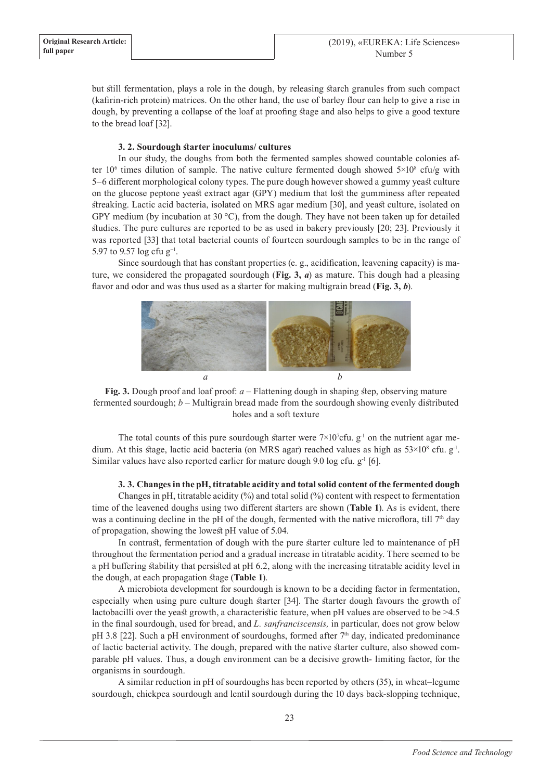but still fermentation, plays a role in the dough, by releasing starch granules from such compact (kafirin-rich protein) matrices. On the other hand, the use of barley flour can help to give a rise in dough, by preventing a collapse of the loaf at proofing stage and also helps to give a good texture to the bread loaf [32].

# **3. 2. Sourdough starter inoculums/ cultures**

In our study, the doughs from both the fermented samples showed countable colonies after 10<sup>6</sup> times dilution of sample. The native culture fermented dough showed  $5\times10^8$  cfu/g with 5–6 different morphological colony types. The pure dough however showed a gummy yeast culture on the glucose peptone yeast extract agar (GPY) medium that lost the gumminess after repeated streaking. Lactic acid bacteria, isolated on MRS agar medium [30], and yeast culture, isolated on GPY medium (by incubation at 30 °C), from the dough. They have not been taken up for detailed studies. The pure cultures are reported to be as used in bakery previously [20; 23]. Previously it was reported [33] that total bacterial counts of fourteen sourdough samples to be in the range of 5.97 to 9.57 log cfu g<sup>-1</sup>.

Since sourdough that has constant properties (e. g., acidification, leavening capacity) is mature, we considered the propagated sourdough (**Fig. 3,** *a*) as mature. This dough had a pleasing flavor and odor and was thus used as a starter for making multigrain bread (**Fig. 3,** *b*).



**Fig. 3.** Dough proof and loaf proof: *a* – Flattening dough in shaping step, observing mature fermented sourdough; *b* – Multigrain bread made from the sourdough showing evenly distributed holes and a soft texture

The total counts of this pure sourdough starter were  $7\times10^{7}$ cfu. g<sup>-1</sup> on the nutrient agar medium. At this stage, lactic acid bacteria (on MRS agar) reached values as high as  $53\times10^8$  cfu.  $g<sup>-1</sup>$ . Similar values have also reported earlier for mature dough 9.0 log cfu.  $g^{-1}$  [6].

# **3. 3. Changes in the pH, titratable acidity and total solid content of the fermented dough**

Changes in pH, titratable acidity  $(\%)$  and total solid  $(\%)$  content with respect to fermentation time of the leavened doughs using two different starters are shown (**Table 1**). As is evident, there was a continuing decline in the pH of the dough, fermented with the native microflora, till  $7<sup>th</sup>$  day of propagation, showing the lowest pH value of 5.04.

In contrast, fermentation of dough with the pure starter culture led to maintenance of pH throughout the fermentation period and a gradual increase in titratable acidity. There seemed to be a pH buffering stability that persisted at pH 6.2, along with the increasing titratable acidity level in the dough, at each propagation stage (**Table 1**).

A microbiota development for sourdough is known to be a deciding factor in fermentation, especially when using pure culture dough starter [34]. The starter dough favours the growth of lactobacilli over the yeast growth, a characteristic feature, when pH values are observed to be >4.5 in the final sourdough, used for bread, and *L. sanfranciscensis,* in particular, does not grow below pH 3.8 [22]. Such a pH environment of sourdoughs, formed after  $7<sup>th</sup>$  day, indicated predominance of lactic bacterial activity. The dough, prepared with the native starter culture, also showed comparable pH values. Thus, a dough environment can be a decisive growth- limiting factor, for the organisms in sourdough.

A similar reduction in pH of sourdoughs has been reported by others (35), in wheat–legume sourdough, chickpea sourdough and lentil sourdough during the 10 days back-slopping technique,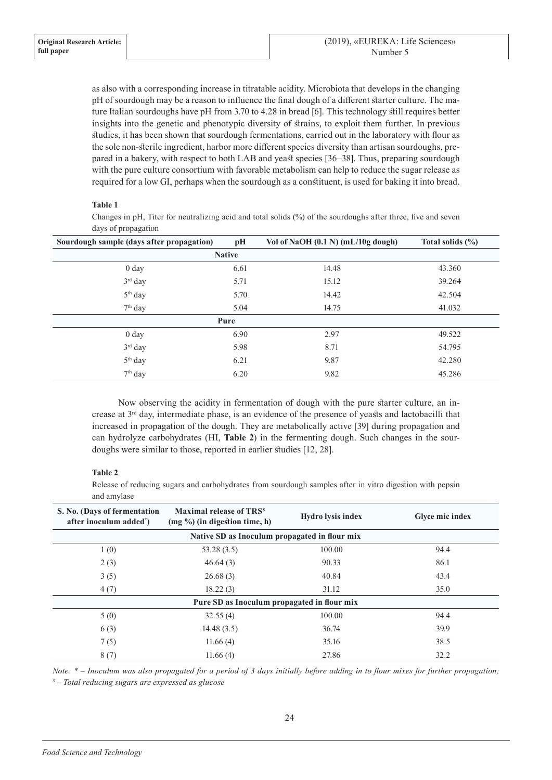as also with a corresponding increase in titratable acidity. Microbiota that develops in the changing pH of sourdough may be a reason to influence the final dough of a different starter culture. The mature Italian sourdoughs have pH from 3.70 to 4.28 in bread [6]. This technology still requires better insights into the genetic and phenotypic diversity of strains, to exploit them further. In previous studies, it has been shown that sourdough fermentations, carried out in the laboratory with flour as the sole non-sterile ingredient, harbor more different species diversity than artisan sourdoughs, prepared in a bakery, with respect to both LAB and yeast species [36–38]. Thus, preparing sourdough with the pure culture consortium with favorable metabolism can help to reduce the sugar release as required for a low GI, perhaps when the sourdough as a constituent, is used for baking it into bread.

# **Table 1**

Changes in pH, Titer for neutralizing acid and total solids (%) of the sourdoughs after three, five and seven days of propagation

| Sourdough sample (days after propagation) | pH            | Vol of NaOH (0.1 N) (mL/10g dough) | Total solids $(\% )$ |  |
|-------------------------------------------|---------------|------------------------------------|----------------------|--|
|                                           | <b>Native</b> |                                    |                      |  |
| 0 <sub>day</sub>                          | 6.61          | 14.48                              | 43.360               |  |
| 3rd day                                   | 5.71          | 15.12                              | 39.264               |  |
| 5 <sup>th</sup> day                       | 5.70          | 14.42                              | 42.504               |  |
| $7th$ day                                 | 5.04          | 14.75                              | 41.032               |  |
| Pure                                      |               |                                    |                      |  |
| 0 <sub>day</sub>                          | 6.90          | 2.97                               | 49.522               |  |
| $3rd$ day                                 | 5.98          | 8.71                               | 54.795               |  |
| 5 <sup>th</sup> day                       | 6.21          | 9.87                               | 42.280               |  |
| $7th$ day                                 | 6.20          | 9.82                               | 45.286               |  |

Now observing the acidity in fermentation of dough with the pure starter culture, an increase at 3rd day, intermediate phase, is an evidence of the presence of yeasts and lactobacilli that increased in propagation of the dough. They are metabolically active [39] during propagation and can hydrolyze carbohydrates (HI, **Table 2**) in the fermenting dough. Such changes in the sourdoughs were similar to those, reported in earlier studies [12, 28].

# **Table 2**

Release of reducing sugars and carbohydrates from sourdough samples after in vitro digestion with pepsin and amylase

| S. No. (Days of fermentation<br>after inoculum added <sup>*</sup> ) | <b>Maximal release of TRS<sup>s</sup></b><br>(mg %) (in digestion time, h) | <b>Hydro lysis index</b> | Glyce mic index |  |  |
|---------------------------------------------------------------------|----------------------------------------------------------------------------|--------------------------|-----------------|--|--|
| Native SD as Inoculum propagated in flour mix                       |                                                                            |                          |                 |  |  |
| 1(0)                                                                | 53.28(3.5)                                                                 | 100.00                   | 94.4            |  |  |
| 2(3)                                                                | 46.64(3)                                                                   | 90.33                    | 86.1            |  |  |
| 3(5)                                                                | 26.68(3)                                                                   | 40.84                    | 43.4            |  |  |
| 4(7)                                                                | 18.22(3)                                                                   | 31.12                    | 35.0            |  |  |
| Pure SD as Inoculum propagated in flour mix                         |                                                                            |                          |                 |  |  |
| 5(0)                                                                | 32.55(4)                                                                   | 100.00                   | 94.4            |  |  |
| 6(3)                                                                | 14.48(3.5)                                                                 | 36.74                    | 39.9            |  |  |
| 7(5)                                                                | 11.66(4)                                                                   | 35.16                    | 38.5            |  |  |
| 8(7)                                                                | 11.66(4)                                                                   | 27.86                    | 32.2            |  |  |

*Note: \* – Inoculum was also propagated for a period of 3 days initially before adding in to flour mixes for further propagation; \$ – Total reducing sugars are expressed as glucose*

24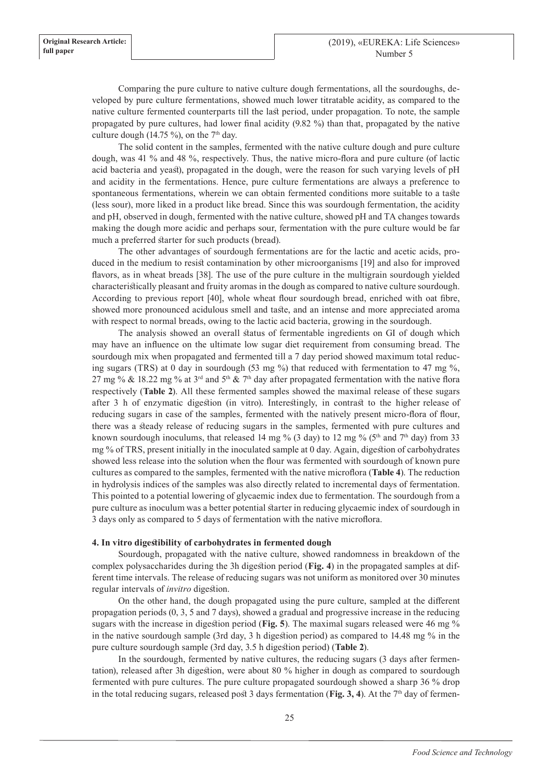Comparing the pure culture to native culture dough fermentations, all the sourdoughs, developed by pure culture fermentations, showed much lower titratable acidity, as compared to the native culture fermented counterparts till the last period, under propagation. To note, the sample propagated by pure cultures, had lower final acidity (9.82 %) than that, propagated by the native culture dough (14.75 %), on the  $7<sup>th</sup>$  day.

The solid content in the samples, fermented with the native culture dough and pure culture dough, was 41 % and 48 %, respectively. Thus, the native micro-flora and pure culture (of lactic acid bacteria and yeast), propagated in the dough, were the reason for such varying levels of pH and acidity in the fermentations. Hence, pure culture fermentations are always a preference to spontaneous fermentations, wherein we can obtain fermented conditions more suitable to a taste (less sour), more liked in a product like bread. Since this was sourdough fermentation, the acidity and pH, observed in dough, fermented with the native culture, showed pH and TA changes towards making the dough more acidic and perhaps sour, fermentation with the pure culture would be far much a preferred starter for such products (bread).

The other advantages of sourdough fermentations are for the lactic and acetic acids, produced in the medium to resist contamination by other microorganisms [19] and also for improved flavors, as in wheat breads [38]. The use of the pure culture in the multigrain sourdough yielded characteristically pleasant and fruity aromas in the dough as compared to native culture sourdough. According to previous report [40], whole wheat flour sourdough bread, enriched with oat fibre, showed more pronounced acidulous smell and taste, and an intense and more appreciated aroma with respect to normal breads, owing to the lactic acid bacteria, growing in the sourdough.

The analysis showed an overall status of fermentable ingredients on GI of dough which may have an influence on the ultimate low sugar diet requirement from consuming bread. The sourdough mix when propagated and fermented till a 7 day period showed maximum total reducing sugars (TRS) at 0 day in sourdough (53 mg  $\%$ ) that reduced with fermentation to 47 mg  $\%$ , 27 mg % & 18.22 mg % at 3<sup>rd</sup> and 5<sup>th</sup> & 7<sup>th</sup> day after propagated fermentation with the native flora respectively (**Table 2**). All these fermented samples showed the maximal release of these sugars after 3 h of enzymatic digestion (in vitro). Interestingly, in contrast to the higher release of reducing sugars in case of the samples, fermented with the natively present micro-flora of flour, there was a steady release of reducing sugars in the samples, fermented with pure cultures and known sourdough inoculums, that released 14 mg % (3 day) to 12 mg % (5<sup>th</sup> and 7<sup>th</sup> day) from 33 mg % of TRS, present initially in the inoculated sample at 0 day. Again, digestion of carbohydrates showed less release into the solution when the flour was fermented with sourdough of known pure cultures as compared to the samples, fermented with the native microflora (**Table 4**). The reduction in hydrolysis indices of the samples was also directly related to incremental days of fermentation. This pointed to a potential lowering of glycaemic index due to fermentation. The sourdough from a pure culture as inoculum was a better potential starter in reducing glycaemic index of sourdough in 3 days only as compared to 5 days of fermentation with the native microflora.

#### **4. In vitro digestibility of carbohydrates in fermented dough**

Sourdough, propagated with the native culture, showed randomness in breakdown of the complex polysaccharides during the 3h digestion period (**Fig. 4**) in the propagated samples at different time intervals. The release of reducing sugars was not uniform as monitored over 30 minutes regular intervals of *invitro* digestion.

On the other hand, the dough propagated using the pure culture, sampled at the different propagation periods (0, 3, 5 and 7 days), showed a gradual and progressive increase in the reducing sugars with the increase in digestion period (**Fig. 5**). The maximal sugars released were 46 mg % in the native sourdough sample (3rd day, 3 h digestion period) as compared to 14.48 mg % in the pure culture sourdough sample (3rd day, 3.5 h digestion period) (**Table 2**).

In the sourdough, fermented by native cultures, the reducing sugars (3 days after fermentation), released after 3h digestion, were about 80 % higher in dough as compared to sourdough fermented with pure cultures. The pure culture propagated sourdough showed a sharp 36 % drop in the total reducing sugars, released post 3 days fermentation (**Fig. 3, 4**). At the 7<sup>th</sup> day of fermen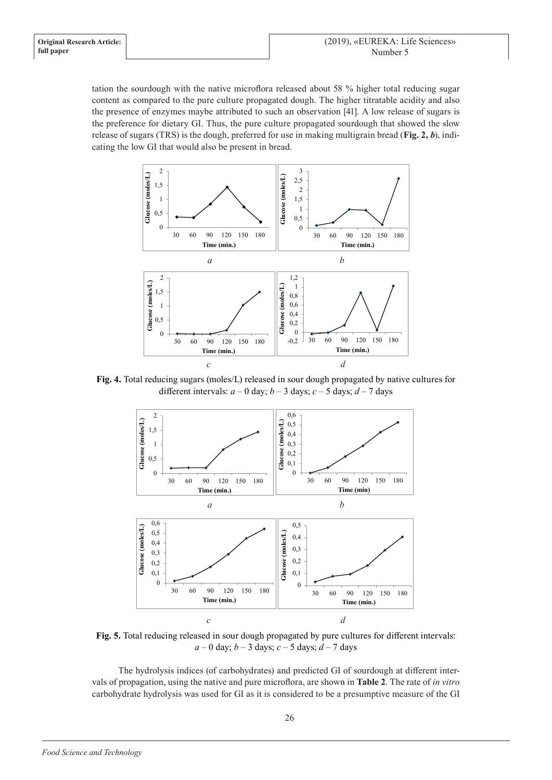tation the sourdough with the native microflora released about 58 % higher total reducing sugar content as compared to the pure culture propagated dough. The higher titratable acidity and also the presence of enzymes maybe attributed to such an observation [41]. A low release of sugars is the preference for dietary GI. Thus, the pure culture propagated sourdough that showed the slow release of sugars (TRS) is the dough, preferred for use in making multigrain bread (**Fig. 2,** *b*), indicating the low GI that would also be present in bread.



**Fig. 4.** Total reducing sugars (moles/L) released in sour dough propagated by native cultures for different intervals:  $a - 0$  day;  $b - 3$  days;  $c - 5$  days;  $d - 7$  days



**Fig. 5.** Total reducing released in sour dough propagated by pure cultures for different intervals: *a* – 0 day; *b* – 3 days; *c* – 5 days; *d* – 7 days

The hydrolysis indices (of carbohydrates) and predicted GI of sourdough at different intervals of propagation, using the native and pure microflora, are shown in **Table 2**. The rate of *in vitro*  carbohydrate hydrolysis was used for GI as it is considered to be a presumptive measure of the GI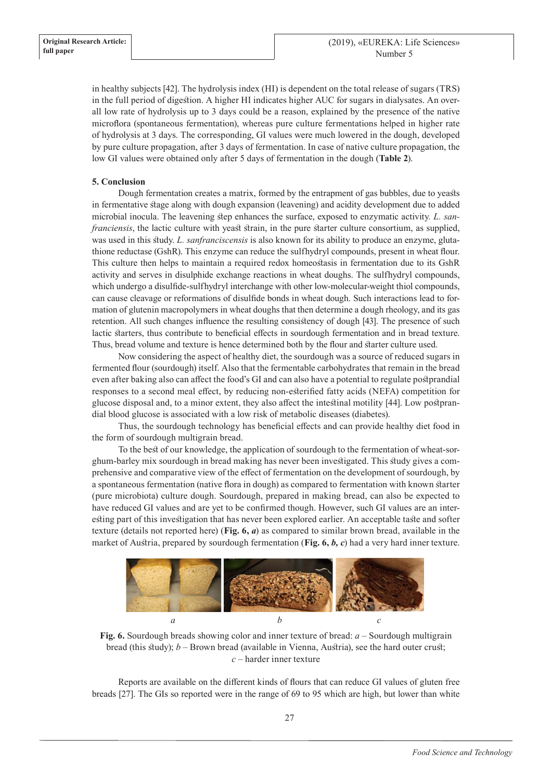in healthy subjects [42]. The hydrolysis index (HI) is dependent on the total release of sugars (TRS) in the full period of digestion. A higher HI indicates higher AUC for sugars in dialysates. An overall low rate of hydrolysis up to 3 days could be a reason, explained by the presence of the native microflora (spontaneous fermentation), whereas pure culture fermentations helped in higher rate of hydrolysis at 3 days. The corresponding, GI values were much lowered in the dough, developed by pure culture propagation, after 3 days of fermentation. In case of native culture propagation, the low GI values were obtained only after 5 days of fermentation in the dough (**Table 2**).

# **5. Conclusion**

Dough fermentation creates a matrix, formed by the entrapment of gas bubbles, due to yeasts in fermentative stage along with dough expansion (leavening) and acidity development due to added microbial inocula. The leavening step enhances the surface, exposed to enzymatic activity*. L. sanfranciensis*, the lactic culture with yeast strain, in the pure starter culture consortium, as supplied, was used in this study. *L. sanfranciscensis* is also known for its ability to produce an enzyme, glutathione reductase (GshR). This enzyme can reduce the sulfhydryl compounds, present in wheat flour. This culture then helps to maintain a required redox homeostasis in fermentation due to its GshR activity and serves in disulphide exchange reactions in wheat doughs. The sulfhydryl compounds, which undergo a disulfide-sulfhydryl interchange with other low-molecular-weight thiol compounds, can cause cleavage or reformations of disulfide bonds in wheat dough. Such interactions lead to formation of glutenin macropolymers in wheat doughs that then determine a dough rheology, and its gas retention. All such changes influence the resulting consistency of dough [43]. The presence of such lactic starters, thus contribute to beneficial effects in sourdough fermentation and in bread texture. Thus, bread volume and texture is hence determined both by the flour and starter culture used.

Now considering the aspect of healthy diet, the sourdough was a source of reduced sugars in fermented flour (sourdough) itself. Also that the fermentable carbohydrates that remain in the bread even after baking also can affect the food's GI and can also have a potential to regulate postprandial responses to a second meal effect, by reducing non-esterified fatty acids (NEFA) competition for glucose disposal and, to a minor extent, they also affect the intestinal motility [44]. Low postprandial blood glucose is associated with a low risk of metabolic diseases (diabetes).

Thus, the sourdough technology has beneficial effects and can provide healthy diet food in the form of sourdough multigrain bread.

To the best of our knowledge, the application of sourdough to the fermentation of wheat-sorghum-barley mix sourdough in bread making has never been investigated. This study gives a comprehensive and comparative view of the effect of fermentation on the development of sourdough, by a spontaneous fermentation (native flora in dough) as compared to fermentation with known starter (pure microbiota) culture dough. Sourdough, prepared in making bread, can also be expected to have reduced GI values and are yet to be confirmed though. However, such GI values are an interesting part of this investigation that has never been explored earlier. An acceptable taste and softer texture (details not reported here) (**Fig. 6,** *a*) as compared to similar brown bread, available in the market of Austria, prepared by sourdough fermentation (**Fig. 6,** *b, с*) had a very hard inner texture.



**Fig. 6.** Sourdough breads showing color and inner texture of bread: *a* – Sourdough multigrain bread (this study); *b* – Brown bread (available in Vienna, Austria), see the hard outer crust; *с* – harder inner texture

Reports are available on the different kinds of flours that can reduce GI values of gluten free breads [27]. The GIs so reported were in the range of 69 to 95 which are high, but lower than white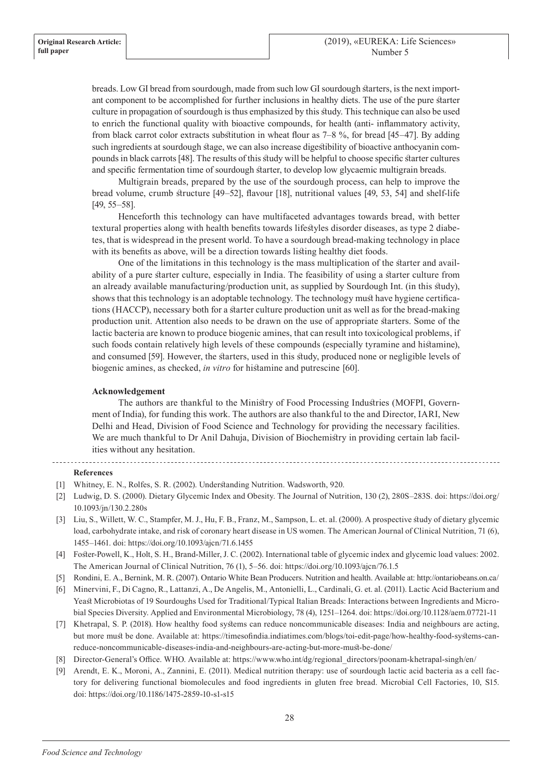breads. Low GI bread from sourdough, made from such low GI sourdough starters, is the next important component to be accomplished for further inclusions in healthy diets. The use of the pure starter culture in propagation of sourdough is thus emphasized by this study. This technique can also be used to enrich the functional quality with bioactive compounds, for health (anti- inflammatory activity, from black carrot color extracts substitution in wheat flour as 7–8 %, for bread [45–47]. By adding such ingredients at sourdough stage, we can also increase digestibility of bioactive anthocyanin compounds in black carrots [48]. The results of this study will be helpful to choose specific starter cultures and specific fermentation time of sourdough starter, to develop low glycaemic multigrain breads.

Multigrain breads, prepared by the use of the sourdough process, can help to improve the bread volume, crumb structure [49–52], flavour [18], nutritional values [49, 53, 54] and shelf-life [49, 55–58].

Henceforth this technology can have multifaceted advantages towards bread, with better textural properties along with health benefits towards lifestyles disorder diseases, as type 2 diabetes, that is widespread in the present world. To have a sourdough bread-making technology in place with its benefits as above, will be a direction towards listing healthy diet foods.

One of the limitations in this technology is the mass multiplication of the starter and availability of a pure starter culture, especially in India. The feasibility of using a starter culture from an already available manufacturing/production unit, as supplied by Sourdough Int. (in this study), shows that this technology is an adoptable technology. The technology must have hygiene certifications (HACCP), necessary both for a starter culture production unit as well as for the bread-making production unit. Attention also needs to be drawn on the use of appropriate starters. Some of the lactic bacteria are known to produce biogenic amines, that can result into toxicological problems, if such foods contain relatively high levels of these compounds (especially tyramine and histamine), and consumed [59]. However, the starters, used in this study, produced none or negligible levels of biogenic amines, as checked, *in vitro* for histamine and putrescine [60].

# **Acknowledgement**

The authors are thankful to the Ministry of Food Processing Industries (MOFPI, Government of India), for funding this work. The authors are also thankful to the and Director, IARI, New Delhi and Head, Division of Food Science and Technology for providing the necessary facilities. We are much thankful to Dr Anil Dahuja, Division of Biochemistry in providing certain lab facilities without any hesitation.

#### **References**

- [1] Whitney, E. N., Rolfes, S. R. (2002). Understanding Nutrition. Wadsworth, 920.
- [2] Ludwig, D. S. (2000). Dietary Glycemic Index and Obesity. The Journal of Nutrition, 130 (2), 280S–283S. doi: https://doi.org/ 10.1093/jn/130.2.280s
- [3] Liu, S., Willett, W. C., Stampfer, M. J., Hu, F. B., Franz, M., Sampson, L. et. al. (2000). A prospective study of dietary glycemic load, carbohydrate intake, and risk of coronary heart disease in US women. The American Journal of Clinical Nutrition, 71 (6), 1455–1461. doi: https://doi.org/10.1093/ajcn/71.6.1455
- [4] Foster-Powell, K., Holt, S. H., Brand-Miller, J. C. (2002). International table of glycemic index and glycemic load values: 2002. The American Journal of Clinical Nutrition, 76 (1), 5–56. doi: https://doi.org/10.1093/ajcn/76.1.5
- [5] Rondini, E. A., Bernink, M. R. (2007). Ontario White Bean Producers. Nutrition and health. Available at: http://ontariobeans.on.ca/
- [6] Minervini, F., Di Cagno, R., Lattanzi, A., De Angelis, M., Antonielli, L., Cardinali, G. et. al. (2011). Lactic Acid Bacterium and Yeast Microbiotas of 19 Sourdoughs Used for Traditional/Typical Italian Breads: Interactions between Ingredients and Microbial Species Diversity. Applied and Environmental Microbiology, 78 (4), 1251–1264. doi: https://doi.org/10.1128/aem.07721-11
- [7] Khetrapal, S. P. (2018). How healthy food systems can reduce noncommunicable diseases: India and neighbours are acting, but more must be done. Available at: https://timesofindia.indiatimes.com/blogs/toi-edit-page/how-healthy-food-systems-canreduce-noncommunicable-diseases-india-and-neighbours-are-acting-but-more-must-be-done/
- [8] Director-General's Office. WHO. Available at: https://www.who.int/dg/regional\_directors/poonam-khetrapal-singh/en/
- [9] Arendt, E. K., Moroni, A., Zannini, E. (2011). Medical nutrition therapy: use of sourdough lactic acid bacteria as a cell factory for delivering functional biomolecules and food ingredients in gluten free bread. Microbial Cell Factories, 10, S15. doi: https://doi.org/10.1186/1475-2859-10-s1-s15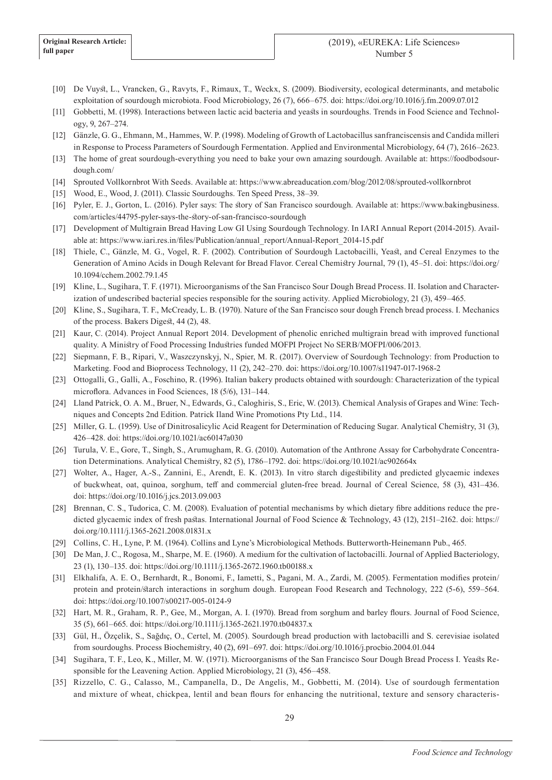- [10] De Vuyst, L., Vrancken, G., Ravyts, F., Rimaux, T., Weckx, S. (2009). Biodiversity, ecological determinants, and metabolic exploitation of sourdough microbiota. Food Microbiology, 26 (7), 666–675. doi: https://doi.org/10.1016/j.fm.2009.07.012
- [11] Gobbetti, M. (1998). Interactions between lactic acid bacteria and yeasts in sourdoughs. Trends in Food Science and Technology, 9, 267–274.
- [12] Gänzle, G. G., Ehmann, M., Hammes, W. P. (1998). Modeling of Growth of Lactobacillus sanfranciscensis and Candida milleri in Response to Process Parameters of Sourdough Fermentation. Applied and Environmental Microbiology, 64 (7), 2616–2623.
- [13] The home of great sourdough-everything you need to bake your own amazing sourdough. Available at: https://foodbodsourdough.com/
- [14] Sprouted Vollkornbrot With Seeds. Available at: https://www.abreaducation.com/blog/2012/08/sprouted-vollkornbrot
- [15] Wood, E., Wood, J. (2011). Classic Sourdoughs. Ten Speed Press, 38–39.
- [16] Pyler, E. J., Gorton, L. (2016). Pyler says: The story of San Francisco sourdough. Available at: https://www.bakingbusiness. com/articles/44795-pyler-says-the-story-of-san-francisco-sourdough
- [17] Development of Multigrain Bread Having Low GI Using Sourdough Technology. In IARI Annual Report (2014-2015). Available at: https://www.iari.res.in/files/Publication/annual\_report/Annual-Report\_2014-15.pdf
- [18] Thiele, C., Gänzle, M. G., Vogel, R. F. (2002). Contribution of Sourdough Lactobacilli, Yeast, and Cereal Enzymes to the Generation of Amino Acids in Dough Relevant for Bread Flavor. Cereal Chemistry Journal, 79 (1), 45–51. doi: https://doi.org/ 10.1094/cchem.2002.79.1.45
- [19] Kline, L., Sugihara, T. F. (1971). Microorganisms of the San Francisco Sour Dough Bread Process. II. Isolation and Characterization of undescribed bacterial species responsible for the souring activity. Applied Microbiology, 21 (3), 459–465.
- [20] Kline, S., Sugihara, T. F., McCready, L. B. (1970). Nature of the San Francisco sour dough French bread process. I. Mechanics of the process. Bakers Digest, 44 (2), 48.
- [21] Kaur, C. (2014). Project Annual Report 2014. Development of phenolic enriched multigrain bread with improved functional quality. A Ministry of Food Processing Industries funded MOFPI Project No SERB/MOFPI/006/2013.
- [22] Siepmann, F. B., Ripari, V., Waszczynskyj, N., Spier, M. R. (2017). Overview of Sourdough Technology: from Production to Marketing. Food and Bioprocess Technology, 11 (2), 242–270. doi: https://doi.org/10.1007/s11947-017-1968-2
- [23] Ottogalli, G., Galli, A., Foschino, R. (1996). Italian bakery products obtained with sourdough: Characterization of the typical microflora. Advances in Food Sciences, 18 (5/6), 131–144.
- [24] Lland Patrick, O. A. M., Bruer, N., Edwards, G., Caloghiris, S., Eric, W. (2013). Chemical Analysis of Grapes and Wine: Techniques and Concepts 2nd Edition. Patrick Iland Wine Promotions Pty Ltd., 114.
- [25] Miller, G. L. (1959). Use of Dinitrosalicylic Acid Reagent for Determination of Reducing Sugar. Analytical Chemistry, 31 (3), 426–428. doi: https://doi.org/10.1021/ac60147a030
- [26] Turula, V. E., Gore, T., Singh, S., Arumugham, R. G. (2010). Automation of the Anthrone Assay for Carbohydrate Concentration Determinations. Analytical Chemistry, 82 (5), 1786–1792. doi: https://doi.org/10.1021/ac902664x
- [27] Wolter, A., Hager, A.-S., Zannini, E., Arendt, E. K. (2013). In vitro starch digestibility and predicted glycaemic indexes of buckwheat, oat, quinoa, sorghum, teff and commercial gluten-free bread. Journal of Cereal Science, 58 (3), 431–436. doi: https://doi.org/10.1016/j.jcs.2013.09.003
- [28] Brennan, C. S., Tudorica, C. M. (2008). Evaluation of potential mechanisms by which dietary fibre additions reduce the predicted glycaemic index of fresh pastas. International Journal of Food Science & Technology, 43 (12), 2151–2162. doi: https:// doi.org/10.1111/j.1365-2621.2008.01831.x
- [29] Collins, C. H., Lyne, P. M. (1964). Collins and Lyne's Microbiological Methods. Butterworth-Heinemann Pub., 465.
- [30] De Man, J. C., Rogosa, M., Sharpe, M. E. (1960). A medium for the cultivation of lactobacilli. Journal of Applied Bacteriology, 23 (1), 130–135. doi: https://doi.org/10.1111/j.1365-2672.1960.tb00188.x
- [31] Elkhalifa, A. E. O., Bernhardt, R., Bonomi, F., Iametti, S., Pagani, M. A., Zardi, M. (2005). Fermentation modifies protein/ protein and protein/starch interactions in sorghum dough. European Food Research and Technology, 222 (5-6), 559–564. doi: https://doi.org/10.1007/s00217-005-0124-9
- [32] Hart, M. R., Graham, R. P., Gee, M., Morgan, A. I. (1970). Bread from sorghum and barley flours. Journal of Food Science, 35 (5), 661–665. doi: https://doi.org/10.1111/j.1365-2621.1970.tb04837.x
- [33] Gül, H., Özçelik, S., Sağdıç, O., Certel, M. (2005). Sourdough bread production with lactobacilli and S. cerevisiae isolated from sourdoughs. Process Biochemistry, 40 (2), 691–697. doi: https://doi.org/10.1016/j.procbio.2004.01.044
- [34] Sugihara, T. F., Leo, K., Miller, M. W. (1971). Microorganisms of the San Francisco Sour Dough Bread Process I. Yeasts Responsible for the Leavening Action. Applied Microbiology, 21 (3), 456–458.
- [35] Rizzello, C. G., Calasso, M., Campanella, D., De Angelis, M., Gobbetti, M. (2014). Use of sourdough fermentation and mixture of wheat, chickpea, lentil and bean flours for enhancing the nutritional, texture and sensory characteris-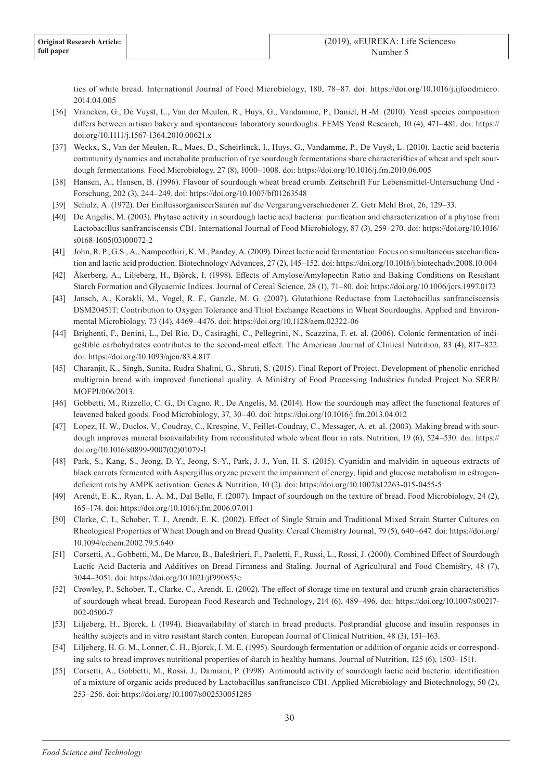tics of white bread. International Journal of Food Microbiology, 180, 78–87. doi: https://doi.org/10.1016/j.ijfoodmicro. 2014.04.005

- [36] Vrancken, G., De Vuyst, L., Van der Meulen, R., Huys, G., Vandamme, P., Daniel, H.-M. (2010). Yeast species composition differs between artisan bakery and spontaneous laboratory sourdoughs. FEMS Yeast Research, 10 (4), 471–481. doi: https:// doi.org/10.1111/j.1567-1364.2010.00621.x
- [37] Weckx, S., Van der Meulen, R., Maes, D., Scheirlinck, I., Huys, G., Vandamme, P., De Vuyst, L. (2010). Lactic acid bacteria community dynamics and metabolite production of rye sourdough fermentations share characteristics of wheat and spelt sourdough fermentations. Food Microbiology, 27 (8), 1000–1008. doi: https://doi.org/10.1016/j.fm.2010.06.005
- [38] Hansen, A., Hansen, B. (1996). Flavour of sourdough wheat bread crumb. Zeitschrift Fur Lebensmittel-Untersuchung Und Forschung, 202 (3), 244–249. doi: https://doi.org/10.1007/bf01263548
- [39] Schulz, A. (1972). Der EinflussorganiscerSauren auf die Vergarungverschiedener Z. Getr Mehl Brot, 26, 129–33.
- [40] De Angelis, M. (2003). Phytase activity in sourdough lactic acid bacteria: purification and characterization of a phytase from Lactobacillus sanfranciscensis CB1. International Journal of Food Microbiology, 87 (3), 259–270. doi: https://doi.org/10.1016/ s0168-1605(03)00072-2
- [41] John, R. P., G.S., A., Nampoothiri, K. M., Pandey, A. (2009). Direct lactic acid fermentation: Focus on simultaneous saccharification and lactic acid production. Biotechnology Advances, 27 (2), 145–152. doi: https://doi.org/10.1016/j.biotechadv.2008.10.004
- [42] Åkerberg, A., Liljeberg, H., Björck, I. (1998). Effects of Amylose/Amylopectin Ratio and Baking Conditions on Resistant Starch Formation and Glycaemic Indices. Journal of Cereal Science, 28 (1), 71–80. doi: https://doi.org/10.1006/jcrs.1997.0173
- [43] Jansch, A., Korakli, M., Vogel, R. F., Ganzle, M. G. (2007). Glutathione Reductase from Lactobacillus sanfranciscensis DSM20451T: Contribution to Oxygen Tolerance and Thiol Exchange Reactions in Wheat Sourdoughs. Applied and Environmental Microbiology, 73 (14), 4469–4476. doi: https://doi.org/10.1128/aem.02322-06
- [44] Brighenti, F., Benini, L., Del Rio, D., Casiraghi, C., Pellegrini, N., Scazzina, F. et. al. (2006). Colonic fermentation of indigestible carbohydrates contributes to the second-meal effect. The American Journal of Clinical Nutrition, 83 (4), 817–822. doi: https://doi.org/10.1093/ajcn/83.4.817
- [45] Charanjit, K., Singh, Sunita, Rudra Shalini, G., Shruti, S. (2015). Final Report of Project. Development of phenolic enriched multigrain bread with improved functional quality. A Ministry of Food Processing Industries funded Project No SERB/ MOFPI/006/2013.
- [46] Gobbetti, M., Rizzello, C. G., Di Cagno, R., De Angelis, M. (2014). How the sourdough may affect the functional features of leavened baked goods. Food Microbiology, 37, 30–40. doi: https://doi.org/10.1016/j.fm.2013.04.012
- [47] Lopez, H. W., Duclos, V., Coudray, C., Krespine, V., Feillet-Coudray, C., Messager, A. et. al. (2003). Making bread with sourdough improves mineral bioavailability from reconstituted whole wheat flour in rats. Nutrition, 19 (6), 524–530. doi: https:// doi.org/10.1016/s0899-9007(02)01079-1
- [48] Park, S., Kang, S., Jeong, D.-Y., Jeong, S.-Y., Park, J. J., Yun, H. S. (2015). Cyanidin and malvidin in aqueous extracts of black carrots fermented with Aspergillus oryzae prevent the impairment of energy, lipid and glucose metabolism in estrogendeficient rats by AMPK activation. Genes & Nutrition, 10 (2). doi: https://doi.org/10.1007/s12263-015-0455-5
- [49] Arendt, E. K., Ryan, L. A. M., Dal Bello, F. (2007). Impact of sourdough on the texture of bread. Food Microbiology, 24 (2), 165–174. doi: https://doi.org/10.1016/j.fm.2006.07.011
- [50] Clarke, C. I., Schober, T. J., Arendt, E. K. (2002). Effect of Single Strain and Traditional Mixed Strain Starter Cultures on Rheological Properties of Wheat Dough and on Bread Quality. Cereal Chemistry Journal, 79 (5), 640–647. doi: https://doi.org/ 10.1094/cchem.2002.79.5.640
- [51] Corsetti, A., Gobbetti, M., De Marco, B., Balestrieri, F., Paoletti, F., Russi, L., Rossi, J. (2000). Combined Effect of Sourdough Lactic Acid Bacteria and Additives on Bread Firmness and Staling. Journal of Agricultural and Food Chemistry, 48 (7), 3044–3051. doi: https://doi.org/10.1021/jf990853e
- [52] Crowley, P., Schober, T., Clarke, C., Arendt, E. (2002). The effect of storage time on textural and crumb grain characteristics of sourdough wheat bread. European Food Research and Technology, 214 (6), 489–496. doi: https://doi.org/10.1007/s00217- 002-0500-7
- [53] Liljeberg, H., Bjorck, I. (1994). Bioavailability of starch in bread products. Postprandial glucose and insulin responses in healthy subjects and in vitro resistant starch conten. European Journal of Clinical Nutrition, 48 (3), 151–163.
- [54] Liljeberg, H. G. M., Lonner, C. H., Bjorck, I. M. E. (1995). Sourdough fermentation or addition of organic acids or corresponding salts to bread improves nutritional properties of starch in healthy humans. Journal of Nutrition, 125 (6), 1503–1511.
- [55] Corsetti, A., Gobbetti, M., Rossi, J., Damiani, P. (1998). Antimould activity of sourdough lactic acid bacteria: identification of a mixture of organic acids produced by Lactobacillus sanfrancisco CB1. Applied Microbiology and Biotechnology, 50 (2), 253–256. doi: https://doi.org/10.1007/s002530051285